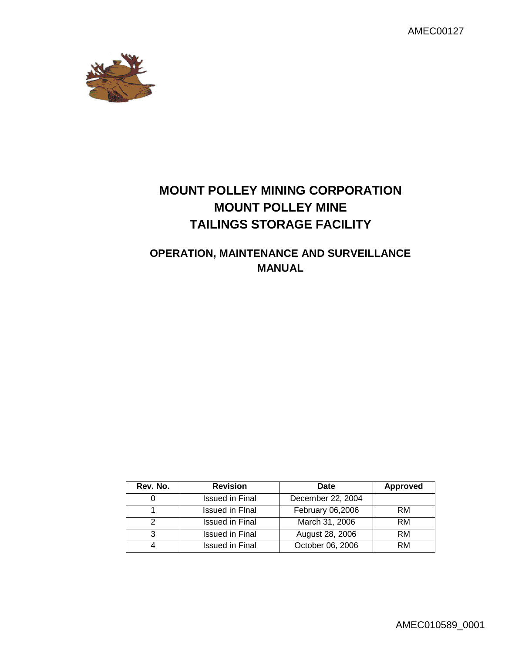AMEC00127



# **MOUNT POLLEY MINING CORPORATION MOUNT POLLEY MINE TAILINGS STORAGE FACILITY**

## **OPERATION, MAINTENANCE AND SURVEILLANCE MANUAL**

| Rev. No. | <b>Revision</b>        | Date              | <b>Approved</b> |
|----------|------------------------|-------------------|-----------------|
|          | Issued in Final        | December 22, 2004 |                 |
|          | <b>Issued in Final</b> | February 06,2006  | <b>RM</b>       |
|          | Issued in Final        | March 31, 2006    | <b>RM</b>       |
| 3        | Issued in Final        | August 28, 2006   | <b>RM</b>       |
|          | Issued in Final        | October 06, 2006  | RM              |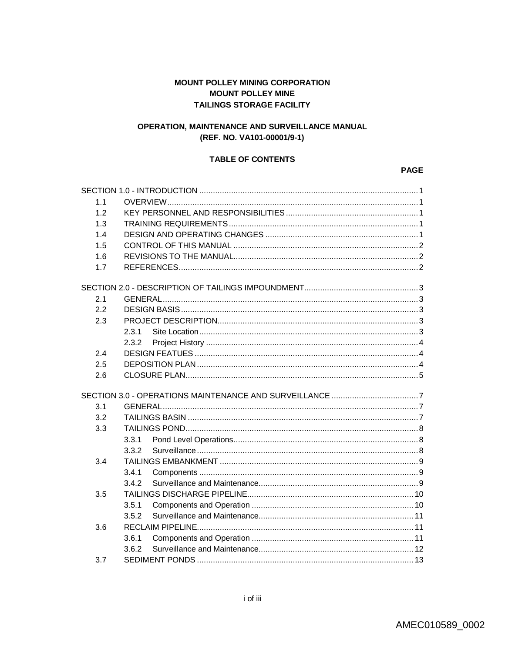## **MOUNT POLLEY MINING CORPORATION MOUNT POLLEY MINE TAILINGS STORAGE FACILITY**

## OPERATION, MAINTENANCE AND SURVEILLANCE MANUAL (REF. NO. VA101-00001/9-1)

#### **TABLE OF CONTENTS**

#### **PAGE**

| 1.1 |       |  |  |
|-----|-------|--|--|
| 12  |       |  |  |
| 1.3 |       |  |  |
| 1.4 |       |  |  |
| 1.5 |       |  |  |
| 1.6 |       |  |  |
| 1.7 |       |  |  |
|     |       |  |  |
| 2.1 |       |  |  |
| 2.2 |       |  |  |
| 2.3 |       |  |  |
|     | 2.3.1 |  |  |
|     | 2.3.2 |  |  |
| 2.4 |       |  |  |
| 2.5 |       |  |  |
| 2.6 |       |  |  |
|     |       |  |  |
| 3.1 |       |  |  |
| 3.2 |       |  |  |
| 3.3 |       |  |  |
|     | 3.3.1 |  |  |
|     | 3.3.2 |  |  |
| 3.4 |       |  |  |
|     | 3.4.1 |  |  |
|     | 3.4.2 |  |  |
| 3.5 |       |  |  |
|     | 3.5.1 |  |  |
|     | 3.5.2 |  |  |
| 3.6 |       |  |  |
|     | 3.6.1 |  |  |
|     | 3.6.2 |  |  |
| 3.7 |       |  |  |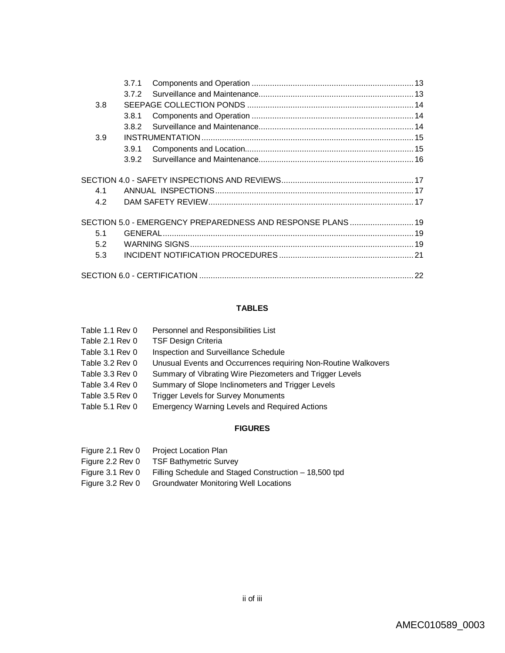|     | 3.7.1 |                                                             |  |
|-----|-------|-------------------------------------------------------------|--|
|     | 3.7.2 |                                                             |  |
| 3.8 |       |                                                             |  |
|     | 3.8.1 |                                                             |  |
|     | 3.8.2 |                                                             |  |
| 3.9 |       |                                                             |  |
|     | 3.9.1 |                                                             |  |
|     | 3.9.2 |                                                             |  |
|     |       |                                                             |  |
| 4.1 |       |                                                             |  |
| 4.2 |       |                                                             |  |
|     |       | SECTION 5.0 - EMERGENCY PREPAREDNESS AND RESPONSE PLANS  19 |  |
| 5.1 |       |                                                             |  |
| 5.2 |       |                                                             |  |
| 5.3 |       |                                                             |  |
|     |       |                                                             |  |

## **TABLES**

| Table 1.1 Rev 0 | Personnel and Responsibilities List                            |
|-----------------|----------------------------------------------------------------|
| Table 2.1 Rev 0 | <b>TSF Design Criteria</b>                                     |
| Table 3.1 Rev 0 | Inspection and Surveillance Schedule                           |
| Table 3.2 Rev 0 | Unusual Events and Occurrences requiring Non-Routine Walkovers |
| Table 3.3 Rev 0 | Summary of Vibrating Wire Piezometers and Trigger Levels       |
| Table 3.4 Rev 0 | Summary of Slope Inclinometers and Trigger Levels              |
| Table 3.5 Rev 0 | <b>Trigger Levels for Survey Monuments</b>                     |
| Table 5.1 Rev 0 | <b>Emergency Warning Levels and Required Actions</b>           |
|                 |                                                                |

## **FIGURES**

| Figure 2.1 Rev 0 | <b>Project Location Plan</b>                          |
|------------------|-------------------------------------------------------|
| Figure 2.2 Rev 0 | <b>TSF Bathymetric Survey</b>                         |
| Figure 3.1 Rev 0 | Filling Schedule and Staged Construction – 18,500 tpd |
| Figure 3.2 Rev 0 | <b>Groundwater Monitoring Well Locations</b>          |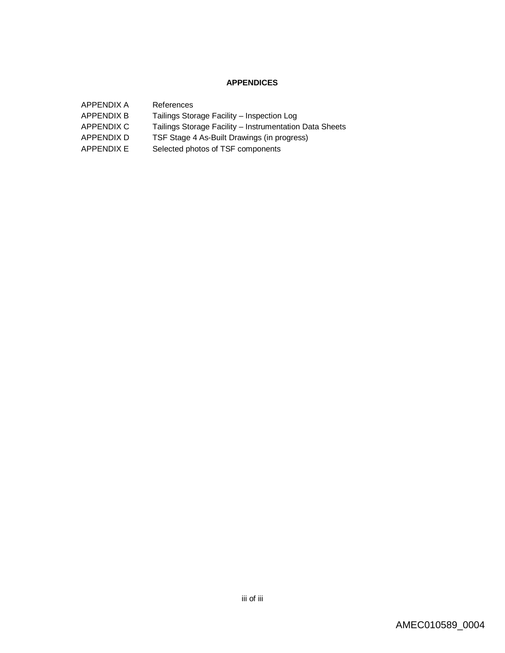## **APPENDICES**

| APPENDIX A        | References                                              |
|-------------------|---------------------------------------------------------|
| <b>APPENDIX B</b> | Tailings Storage Facility - Inspection Log              |
| APPENDIX C        | Tailings Storage Facility – Instrumentation Data Sheets |
| APPENDIX D        | TSF Stage 4 As-Built Drawings (in progress)             |
| APPENDIX E        | Selected photos of TSF components                       |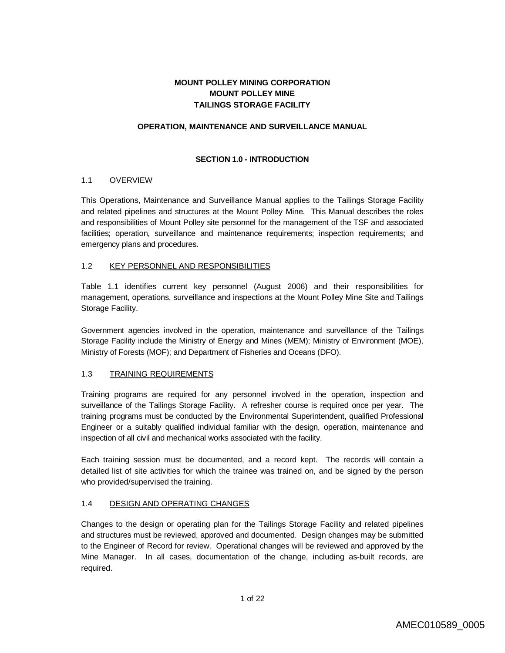## **MOUNT POLLEY MINING CORPORATION MOUNT POLLEY MINE TAILINGS STORAGE FACILITY**

## **OPERATION, MAINTENANCE AND SURVEILLANCE MANUAL**

## **SECTION 1.0 - INTRODUCTION**

## 1.1 OVERVIEW

This Operations, Maintenance and Surveillance Manual applies to the Tailings Storage Facility and related pipelines and structures at the Mount Polley Mine. This Manual describes the roles and responsibilities of Mount Polley site personnel for the management of the TSF and associated facilities; operation, surveillance and maintenance requirements; inspection requirements; and emergency plans and procedures.

## 1.2 KEY PERSONNEL AND RESPONSIBILITIES

Table 1.1 identifies current key personnel (August 2006) and their responsibilities for management, operations, surveillance and inspections at the Mount Polley Mine Site and Tailings Storage Facility.

Government agencies involved in the operation, maintenance and surveillance of the Tailings Storage Facility include the Ministry of Energy and Mines (MEM); Ministry of Environment (MOE), Ministry of Forests (MOF); and Department of Fisheries and Oceans (DFO).

## 1.3 TRAINING REQUIREMENTS

Training programs are required for any personnel involved in the operation, inspection and surveillance of the Tailings Storage Facility. A refresher course is required once per year. The training programs must be conducted by the Environmental Superintendent, qualified Professional Engineer or a suitably qualified individual familiar with the design, operation, maintenance and inspection of all civil and mechanical works associated with the facility.

Each training session must be documented, and a record kept. The records will contain a detailed list of site activities for which the trainee was trained on, and be signed by the person who provided/supervised the training.

## 1.4 DESIGN AND OPERATING CHANGES

Changes to the design or operating plan for the Tailings Storage Facility and related pipelines and structures must be reviewed, approved and documented. Design changes may be submitted to the Engineer of Record for review. Operational changes will be reviewed and approved by the Mine Manager. In all cases, documentation of the change, including as-built records, are required.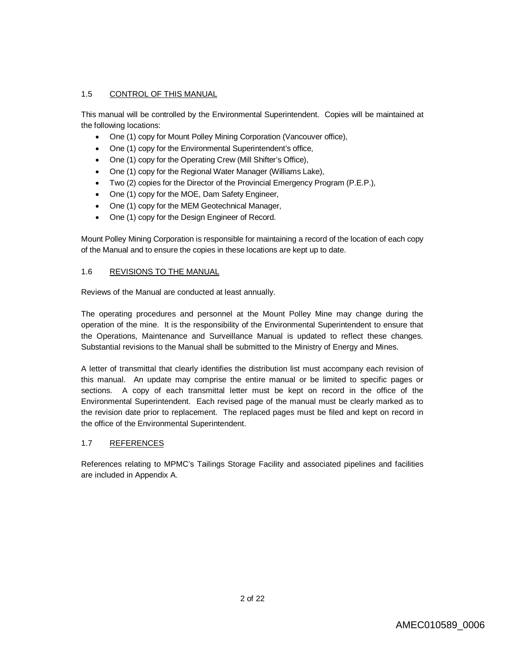## 1.5 CONTROL OF THIS MANUAL

This manual will be controlled by the Environmental Superintendent. Copies will be maintained at the following locations:

- One (1) copy for Mount Polley Mining Corporation (Vancouver office),
- One (1) copy for the Environmental Superintendent's office,
- One (1) copy for the Operating Crew (Mill Shifter's Office),
- One (1) copy for the Regional Water Manager (Williams Lake),
- Two (2) copies for the Director of the Provincial Emergency Program (P.E.P.),
- One (1) copy for the MOE, Dam Safety Engineer,
- One (1) copy for the MEM Geotechnical Manager,
- One (1) copy for the Design Engineer of Record.

Mount Polley Mining Corporation is responsible for maintaining a record of the location of each copy of the Manual and to ensure the copies in these locations are kept up to date.

## 1.6 REVISIONS TO THE MANUAL

Reviews of the Manual are conducted at least annually.

The operating procedures and personnel at the Mount Polley Mine may change during the operation of the mine. It is the responsibility of the Environmental Superintendent to ensure that the Operations, Maintenance and Surveillance Manual is updated to reflect these changes. Substantial revisions to the Manual shall be submitted to the Ministry of Energy and Mines.

A letter of transmittal that clearly identifies the distribution list must accompany each revision of this manual. An update may comprise the entire manual or be limited to specific pages or sections. A copy of each transmittal letter must be kept on record in the office of the Environmental Superintendent. Each revised page of the manual must be clearly marked as to the revision date prior to replacement. The replaced pages must be filed and kept on record in the office of the Environmental Superintendent.

## 1.7 REFERENCES

References relating to MPMC's Tailings Storage Facility and associated pipelines and facilities are included in Appendix A.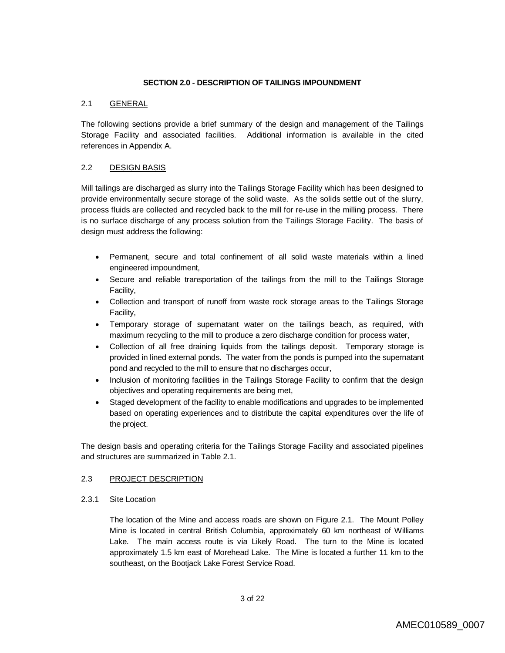#### **SECTION 2.0 - DESCRIPTION OF TAILINGS IMPOUNDMENT**

## 2.1 GENERAL

The following sections provide a brief summary of the design and management of the Tailings Storage Facility and associated facilities. Additional information is available in the cited references in Appendix A.

## 2.2 DESIGN BASIS

Mill tailings are discharged as slurry into the Tailings Storage Facility which has been designed to provide environmentally secure storage of the solid waste. As the solids settle out of the slurry, process fluids are collected and recycled back to the mill for re-use in the milling process. There is no surface discharge of any process solution from the Tailings Storage Facility. The basis of design must address the following:

- Permanent, secure and total confinement of all solid waste materials within a lined engineered impoundment,
- Secure and reliable transportation of the tailings from the mill to the Tailings Storage Facility,
- Collection and transport of runoff from waste rock storage areas to the Tailings Storage Facility,
- Temporary storage of supernatant water on the tailings beach, as required, with maximum recycling to the mill to produce a zero discharge condition for process water,
- Collection of all free draining liquids from the tailings deposit. Temporary storage is provided in lined external ponds. The water from the ponds is pumped into the supernatant pond and recycled to the mill to ensure that no discharges occur,
- Inclusion of monitoring facilities in the Tailings Storage Facility to confirm that the design objectives and operating requirements are being met,
- Staged development of the facility to enable modifications and upgrades to be implemented based on operating experiences and to distribute the capital expenditures over the life of the project.

The design basis and operating criteria for the Tailings Storage Facility and associated pipelines and structures are summarized in Table 2.1.

#### 2.3 PROJECT DESCRIPTION

#### 2.3.1 Site Location

The location of the Mine and access roads are shown on Figure 2.1. The Mount Polley Mine is located in central British Columbia, approximately 60 km northeast of Williams Lake. The main access route is via Likely Road. The turn to the Mine is located approximately 1.5 km east of Morehead Lake. The Mine is located a further 11 km to the southeast, on the Bootjack Lake Forest Service Road.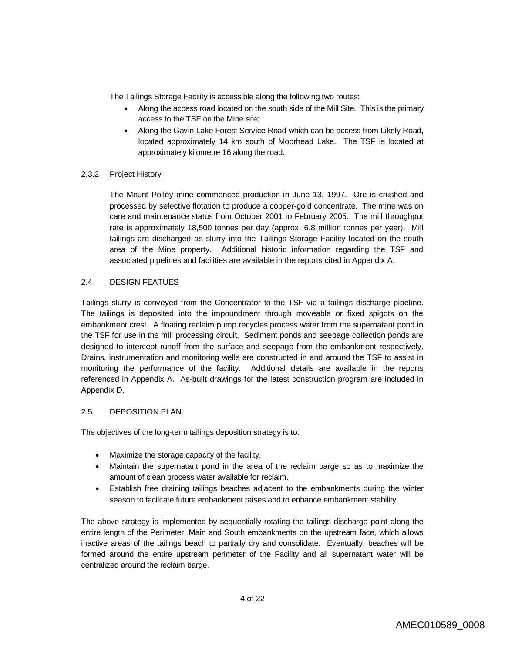The Tailings Storage Facility is accessible along the following two routes:

- Along the access road located on the south side of the Mill Site. This is the primary access to the TSF on the Mine site;
- Along the Gavin Lake Forest Service Road which can be access from Likely Road, located approximately 14 km south of Moorhead Lake. The TSF is located at approximately kilometre 16 along the road.

## 2.3.2 Project History

The Mount Polley mine commenced production in June 13, 1997. Ore is crushed and processed by selective flotation to produce a copper-gold concentrate. The mine was on care and maintenance status from October 2001 to February 2005. The mill throughput rate is approximately 18,500 tonnes per day (approx. 6.8 million tonnes per year). Mill tailings are discharged as slurry into the Tailings Storage Facility located on the south area of the Mine property. Additional historic information regarding the TSF and associated pipelines and facilities are available in the reports cited in Appendix A.

## 2.4 DESIGN FEATUES

Tailings slurry is conveyed from the Concentrator to the TSF via a tailings discharge pipeline. The tailings is deposited into the impoundment through moveable or fixed spigots on the embankment crest. A floating reclaim pump recycles process water from the supernatant pond in the TSF for use in the mill processing circuit. Sediment ponds and seepage collection ponds are designed to intercept runoff from the surface and seepage from the embankment respectively. Drains, instrumentation and monitoring wells are constructed in and around the TSF to assist in monitoring the performance of the facility. Additional details are available in the reports referenced in Appendix A. As-built drawings for the latest construction program are included in Appendix D.

#### 2.5 DEPOSITION PLAN

The objectives of the long-term tailings deposition strategy is to:

- Maximize the storage capacity of the facility.
- Maintain the supernatant pond in the area of the reclaim barge so as to maximize the amount of clean process water available for reclaim.
- Establish free draining tailings beaches adjacent to the embankments during the winter season to facilitate future embankment raises and to enhance embankment stability.

The above strategy is implemented by sequentially rotating the tailings discharge point along the entire length of the Perimeter, Main and South embankments on the upstream face, which allows inactive areas of the tailings beach to partially dry and consolidate. Eventually, beaches will be formed around the entire upstream perimeter of the Facility and all supernatant water will be centralized around the reclaim barge.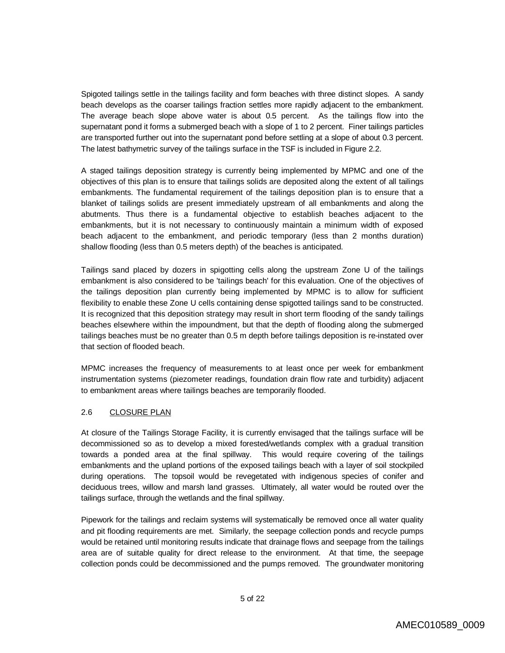Spigoted tailings settle in the tailings facility and form beaches with three distinct slopes. A sandy beach develops as the coarser tailings fraction settles more rapidly adjacent to the embankment. The average beach slope above water is about 0.5 percent. As the tailings flow into the supernatant pond it forms a submerged beach with a slope of 1 to 2 percent. Finer tailings particles are transported further out into the supernatant pond before settling at a slope of about 0.3 percent. The latest bathymetric survey of the tailings surface in the TSF is included in Figure 2.2.

A staged tailings deposition strategy is currently being implemented by MPMC and one of the objectives of this plan is to ensure that tailings solids are deposited along the extent of all tailings embankments. The fundamental requirement of the tailings deposition plan is to ensure that a blanket of tailings solids are present immediately upstream of all embankments and along the abutments. Thus there is a fundamental objective to establish beaches adjacent to the embankments, but it is not necessary to continuously maintain a minimum width of exposed beach adjacent to the embankment, and periodic temporary (less than 2 months duration) shallow flooding (less than 0.5 meters depth) of the beaches is anticipated.

Tailings sand placed by dozers in spigotting cells along the upstream Zone U of the tailings embankment is also considered to be 'tailings beach' for this evaluation. One of the objectives of the tailings deposition plan currently being implemented by MPMC is to allow for sufficient flexibility to enable these Zone U cells containing dense spigotted tailings sand to be constructed. It is recognized that this deposition strategy may result in short term flooding of the sandy tailings beaches elsewhere within the impoundment, but that the depth of flooding along the submerged tailings beaches must be no greater than 0.5 m depth before tailings deposition is re-instated over that section of flooded beach.

MPMC increases the frequency of measurements to at least once per week for embankment instrumentation systems (piezometer readings, foundation drain flow rate and turbidity) adjacent to embankment areas where tailings beaches are temporarily flooded.

## 2.6 CLOSURE PLAN

At closure of the Tailings Storage Facility, it is currently envisaged that the tailings surface will be decommissioned so as to develop a mixed forested/wetlands complex with a gradual transition towards a ponded area at the final spillway. This would require covering of the tailings embankments and the upland portions of the exposed tailings beach with a layer of soil stockpiled during operations. The topsoil would be revegetated with indigenous species of conifer and deciduous trees, willow and marsh land grasses. Ultimately, all water would be routed over the tailings surface, through the wetlands and the final spillway.

Pipework for the tailings and reclaim systems will systematically be removed once all water quality and pit flooding requirements are met. Similarly, the seepage collection ponds and recycle pumps would be retained until monitoring results indicate that drainage flows and seepage from the tailings area are of suitable quality for direct release to the environment. At that time, the seepage collection ponds could be decommissioned and the pumps removed. The groundwater monitoring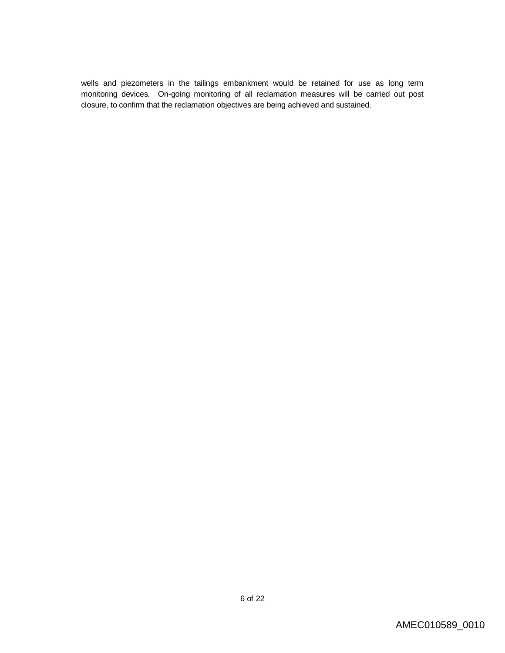wells and piezometers in the tailings embankment would be retained for use as long term monitoring devices. On-going monitoring of all reclamation measures will be carried out post closure, to confirm that the reclamation objectives are being achieved and sustained.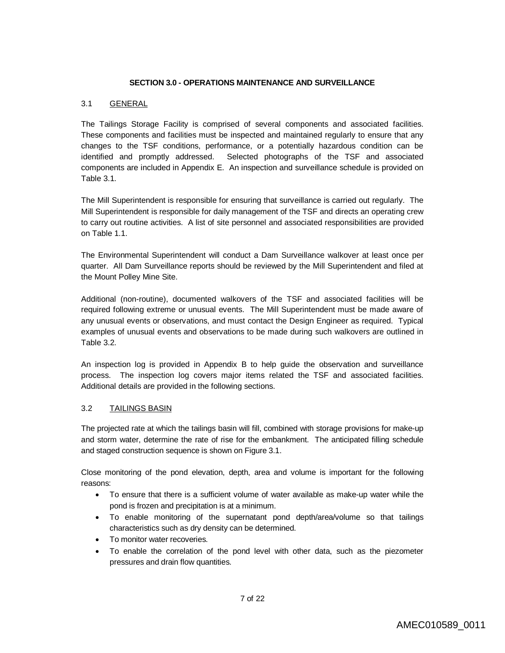#### **SECTION 3.0 - OPERATIONS MAINTENANCE AND SURVEILLANCE**

## 3.1 GENERAL

The Tailings Storage Facility is comprised of several components and associated facilities. These components and facilities must be inspected and maintained regularly to ensure that any changes to the TSF conditions, performance, or a potentially hazardous condition can be identified and promptly addressed. Selected photographs of the TSF and associated components are included in Appendix E. An inspection and surveillance schedule is provided on Table 3.1.

The Mill Superintendent is responsible for ensuring that surveillance is carried out regularly. The Mill Superintendent is responsible for daily management of the TSF and directs an operating crew to carry out routine activities. A list of site personnel and associated responsibilities are provided on Table 1.1.

The Environmental Superintendent will conduct a Dam Surveillance walkover at least once per quarter. All Dam Surveillance reports should be reviewed by the Mill Superintendent and filed at the Mount Polley Mine Site.

Additional (non-routine), documented walkovers of the TSF and associated facilities will be required following extreme or unusual events. The Mill Superintendent must be made aware of any unusual events or observations, and must contact the Design Engineer as required. Typical examples of unusual events and observations to be made during such walkovers are outlined in Table 3.2.

An inspection log is provided in Appendix B to help guide the observation and surveillance process. The inspection log covers major items related the TSF and associated facilities. Additional details are provided in the following sections.

#### 3.2 TAILINGS BASIN

The projected rate at which the tailings basin will fill, combined with storage provisions for make-up and storm water, determine the rate of rise for the embankment. The anticipated filling schedule and staged construction sequence is shown on Figure 3.1.

Close monitoring of the pond elevation, depth, area and volume is important for the following reasons:

- To ensure that there is a sufficient volume of water available as make-up water while the pond is frozen and precipitation is at a minimum.
- To enable monitoring of the supernatant pond depth/area/volume so that tailings characteristics such as dry density can be determined.
- To monitor water recoveries.
- To enable the correlation of the pond level with other data, such as the piezometer pressures and drain flow quantities.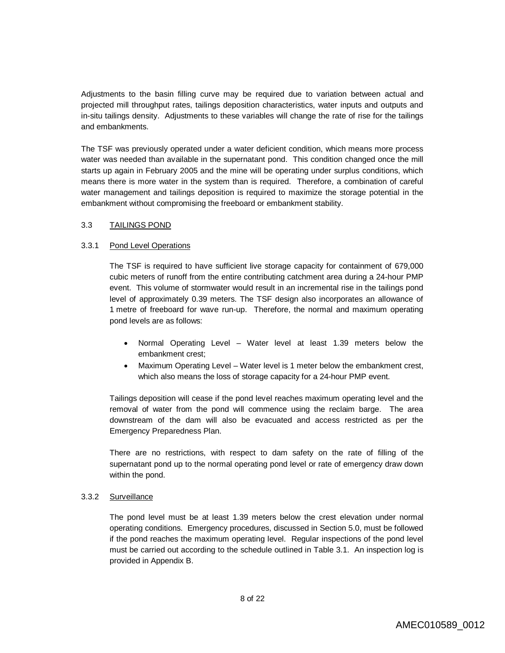Adjustments to the basin filling curve may be required due to variation between actual and projected mill throughput rates, tailings deposition characteristics, water inputs and outputs and in-situ tailings density. Adjustments to these variables will change the rate of rise for the tailings and embankments.

The TSF was previously operated under a water deficient condition, which means more process water was needed than available in the supernatant pond. This condition changed once the mill starts up again in February 2005 and the mine will be operating under surplus conditions, which means there is more water in the system than is required. Therefore, a combination of careful water management and tailings deposition is required to maximize the storage potential in the embankment without compromising the freeboard or embankment stability.

#### 3.3 TAILINGS POND

## 3.3.1 Pond Level Operations

The TSF is required to have sufficient live storage capacity for containment of 679,000 cubic meters of runoff from the entire contributing catchment area during a 24-hour PMP event. This volume of stormwater would result in an incremental rise in the tailings pond level of approximately 0.39 meters. The TSF design also incorporates an allowance of 1 metre of freeboard for wave run-up. Therefore, the normal and maximum operating pond levels are as follows:

- Normal Operating Level Water level at least 1.39 meters below the embankment crest;
- Maximum Operating Level Water level is 1 meter below the embankment crest, which also means the loss of storage capacity for a 24-hour PMP event.

Tailings deposition will cease if the pond level reaches maximum operating level and the removal of water from the pond will commence using the reclaim barge. The area downstream of the dam will also be evacuated and access restricted as per the Emergency Preparedness Plan.

There are no restrictions, with respect to dam safety on the rate of filling of the supernatant pond up to the normal operating pond level or rate of emergency draw down within the pond.

## 3.3.2 Surveillance

The pond level must be at least 1.39 meters below the crest elevation under normal operating conditions. Emergency procedures, discussed in Section 5.0, must be followed if the pond reaches the maximum operating level. Regular inspections of the pond level must be carried out according to the schedule outlined in Table 3.1. An inspection log is provided in Appendix B.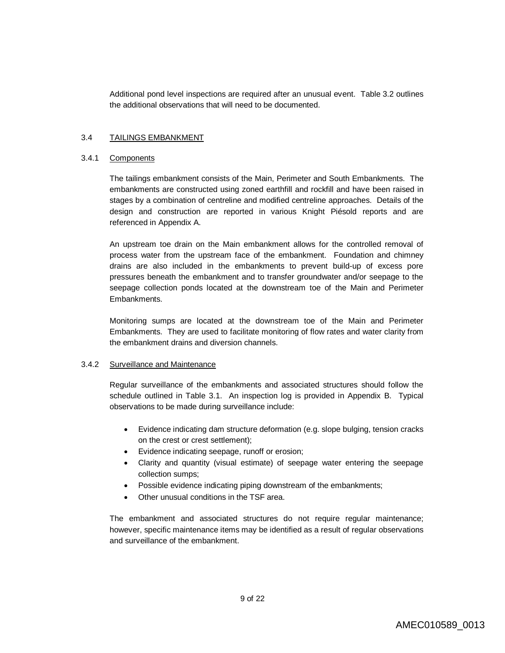Additional pond level inspections are required after an unusual event. Table 3.2 outlines the additional observations that will need to be documented.

#### 3.4 TAILINGS EMBANKMENT

#### 3.4.1 Components

The tailings embankment consists of the Main, Perimeter and South Embankments. The embankments are constructed using zoned earthfill and rockfill and have been raised in stages by a combination of centreline and modified centreline approaches. Details of the design and construction are reported in various Knight Piésold reports and are referenced in Appendix A.

An upstream toe drain on the Main embankment allows for the controlled removal of process water from the upstream face of the embankment. Foundation and chimney drains are also included in the embankments to prevent build-up of excess pore pressures beneath the embankment and to transfer groundwater and/or seepage to the seepage collection ponds located at the downstream toe of the Main and Perimeter Embankments.

Monitoring sumps are located at the downstream toe of the Main and Perimeter Embankments. They are used to facilitate monitoring of flow rates and water clarity from the embankment drains and diversion channels.

#### 3.4.2 Surveillance and Maintenance

Regular surveillance of the embankments and associated structures should follow the schedule outlined in Table 3.1. An inspection log is provided in Appendix B. Typical observations to be made during surveillance include:

- Evidence indicating dam structure deformation (e.g. slope bulging, tension cracks on the crest or crest settlement);
- Evidence indicating seepage, runoff or erosion;
- Clarity and quantity (visual estimate) of seepage water entering the seepage collection sumps;
- Possible evidence indicating piping downstream of the embankments;
- Other unusual conditions in the TSF area.

The embankment and associated structures do not require regular maintenance; however, specific maintenance items may be identified as a result of regular observations and surveillance of the embankment.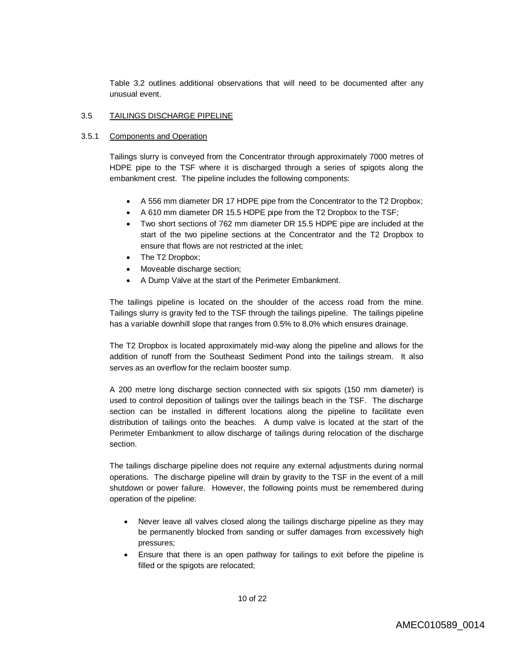Table 3.2 outlines additional observations that will need to be documented after any unusual event.

#### 3.5 TAILINGS DISCHARGE PIPELINE

#### 3.5.1 Components and Operation

Tailings slurry is conveyed from the Concentrator through approximately 7000 metres of HDPE pipe to the TSF where it is discharged through a series of spigots along the embankment crest. The pipeline includes the following components:

- A 556 mm diameter DR 17 HDPE pipe from the Concentrator to the T2 Dropbox;
- A 610 mm diameter DR 15.5 HDPE pipe from the T2 Dropbox to the TSF;
- Two short sections of 762 mm diameter DR 15.5 HDPE pipe are included at the start of the two pipeline sections at the Concentrator and the T2 Dropbox to ensure that flows are not restricted at the inlet;
- The T2 Dropbox;
- Moveable discharge section;
- A Dump Valve at the start of the Perimeter Embankment.

The tailings pipeline is located on the shoulder of the access road from the mine. Tailings slurry is gravity fed to the TSF through the tailings pipeline. The tailings pipeline has a variable downhill slope that ranges from 0.5% to 8.0% which ensures drainage.

The T2 Dropbox is located approximately mid-way along the pipeline and allows for the addition of runoff from the Southeast Sediment Pond into the tailings stream. It also serves as an overflow for the reclaim booster sump.

A 200 metre long discharge section connected with six spigots (150 mm diameter) is used to control deposition of tailings over the tailings beach in the TSF. The discharge section can be installed in different locations along the pipeline to facilitate even distribution of tailings onto the beaches. A dump valve is located at the start of the Perimeter Embankment to allow discharge of tailings during relocation of the discharge section.

The tailings discharge pipeline does not require any external adjustments during normal operations. The discharge pipeline will drain by gravity to the TSF in the event of a mill shutdown or power failure. However, the following points must be remembered during operation of the pipeline:

- Never leave all valves closed along the tailings discharge pipeline as they may be permanently blocked from sanding or suffer damages from excessively high pressures;
- Ensure that there is an open pathway for tailings to exit before the pipeline is filled or the spigots are relocated;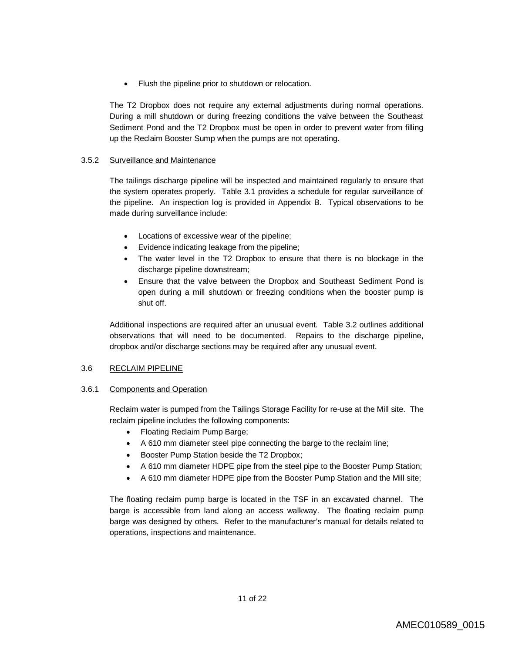• Flush the pipeline prior to shutdown or relocation.

The T2 Dropbox does not require any external adjustments during normal operations. During a mill shutdown or during freezing conditions the valve between the Southeast Sediment Pond and the T2 Dropbox must be open in order to prevent water from filling up the Reclaim Booster Sump when the pumps are not operating.

## 3.5.2 Surveillance and Maintenance

The tailings discharge pipeline will be inspected and maintained regularly to ensure that the system operates properly. Table 3.1 provides a schedule for regular surveillance of the pipeline. An inspection log is provided in Appendix B. Typical observations to be made during surveillance include:

- Locations of excessive wear of the pipeline;
- Evidence indicating leakage from the pipeline;
- The water level in the T2 Dropbox to ensure that there is no blockage in the discharge pipeline downstream;
- Ensure that the valve between the Dropbox and Southeast Sediment Pond is open during a mill shutdown or freezing conditions when the booster pump is shut off.

Additional inspections are required after an unusual event. Table 3.2 outlines additional observations that will need to be documented. Repairs to the discharge pipeline, dropbox and/or discharge sections may be required after any unusual event.

#### 3.6 RECLAIM PIPELINE

#### 3.6.1 Components and Operation

Reclaim water is pumped from the Tailings Storage Facility for re-use at the Mill site. The reclaim pipeline includes the following components:

- Floating Reclaim Pump Barge;
- A 610 mm diameter steel pipe connecting the barge to the reclaim line;
- Booster Pump Station beside the T2 Dropbox;
- A 610 mm diameter HDPE pipe from the steel pipe to the Booster Pump Station;
- A 610 mm diameter HDPE pipe from the Booster Pump Station and the Mill site;

The floating reclaim pump barge is located in the TSF in an excavated channel. The barge is accessible from land along an access walkway. The floating reclaim pump barge was designed by others. Refer to the manufacturer's manual for details related to operations, inspections and maintenance.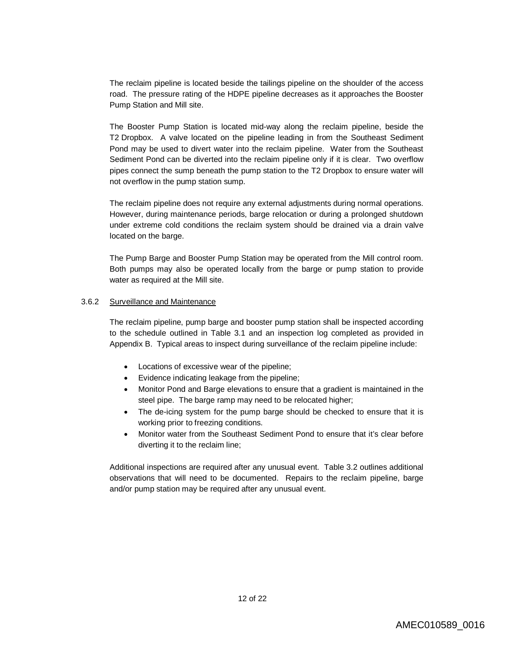The reclaim pipeline is located beside the tailings pipeline on the shoulder of the access road. The pressure rating of the HDPE pipeline decreases as it approaches the Booster Pump Station and Mill site.

The Booster Pump Station is located mid-way along the reclaim pipeline, beside the T2 Dropbox. A valve located on the pipeline leading in from the Southeast Sediment Pond may be used to divert water into the reclaim pipeline. Water from the Southeast Sediment Pond can be diverted into the reclaim pipeline only if it is clear. Two overflow pipes connect the sump beneath the pump station to the T2 Dropbox to ensure water will not overflow in the pump station sump.

The reclaim pipeline does not require any external adjustments during normal operations. However, during maintenance periods, barge relocation or during a prolonged shutdown under extreme cold conditions the reclaim system should be drained via a drain valve located on the barge.

The Pump Barge and Booster Pump Station may be operated from the Mill control room. Both pumps may also be operated locally from the barge or pump station to provide water as required at the Mill site.

#### 3.6.2 Surveillance and Maintenance

The reclaim pipeline, pump barge and booster pump station shall be inspected according to the schedule outlined in Table 3.1 and an inspection log completed as provided in Appendix B. Typical areas to inspect during surveillance of the reclaim pipeline include:

- Locations of excessive wear of the pipeline;
- Evidence indicating leakage from the pipeline;
- Monitor Pond and Barge elevations to ensure that a gradient is maintained in the steel pipe. The barge ramp may need to be relocated higher;
- The de-icing system for the pump barge should be checked to ensure that it is working prior to freezing conditions.
- Monitor water from the Southeast Sediment Pond to ensure that it's clear before diverting it to the reclaim line;

Additional inspections are required after any unusual event. Table 3.2 outlines additional observations that will need to be documented. Repairs to the reclaim pipeline, barge and/or pump station may be required after any unusual event.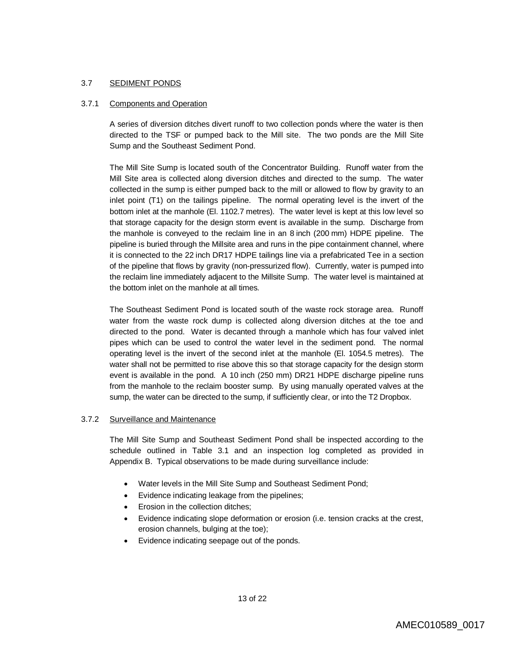#### 3.7 SEDIMENT PONDS

#### 3.7.1 Components and Operation

A series of diversion ditches divert runoff to two collection ponds where the water is then directed to the TSF or pumped back to the Mill site. The two ponds are the Mill Site Sump and the Southeast Sediment Pond.

The Mill Site Sump is located south of the Concentrator Building. Runoff water from the Mill Site area is collected along diversion ditches and directed to the sump. The water collected in the sump is either pumped back to the mill or allowed to flow by gravity to an inlet point (T1) on the tailings pipeline. The normal operating level is the invert of the bottom inlet at the manhole (El. 1102.7 metres). The water level is kept at this low level so that storage capacity for the design storm event is available in the sump. Discharge from the manhole is conveyed to the reclaim line in an 8 inch (200 mm) HDPE pipeline. The pipeline is buried through the Millsite area and runs in the pipe containment channel, where it is connected to the 22 inch DR17 HDPE tailings line via a prefabricated Tee in a section of the pipeline that flows by gravity (non-pressurized flow). Currently, water is pumped into the reclaim line immediately adjacent to the Millsite Sump. The water level is maintained at the bottom inlet on the manhole at all times.

The Southeast Sediment Pond is located south of the waste rock storage area. Runoff water from the waste rock dump is collected along diversion ditches at the toe and directed to the pond. Water is decanted through a manhole which has four valved inlet pipes which can be used to control the water level in the sediment pond. The normal operating level is the invert of the second inlet at the manhole (El. 1054.5 metres). The water shall not be permitted to rise above this so that storage capacity for the design storm event is available in the pond. A 10 inch (250 mm) DR21 HDPE discharge pipeline runs from the manhole to the reclaim booster sump. By using manually operated valves at the sump, the water can be directed to the sump, if sufficiently clear, or into the T2 Dropbox.

#### 3.7.2 Surveillance and Maintenance

The Mill Site Sump and Southeast Sediment Pond shall be inspected according to the schedule outlined in Table 3.1 and an inspection log completed as provided in Appendix B. Typical observations to be made during surveillance include:

- Water levels in the Mill Site Sump and Southeast Sediment Pond;
- Evidence indicating leakage from the pipelines;
- Erosion in the collection ditches;
- Evidence indicating slope deformation or erosion (i.e. tension cracks at the crest, erosion channels, bulging at the toe);
- Evidence indicating seepage out of the ponds.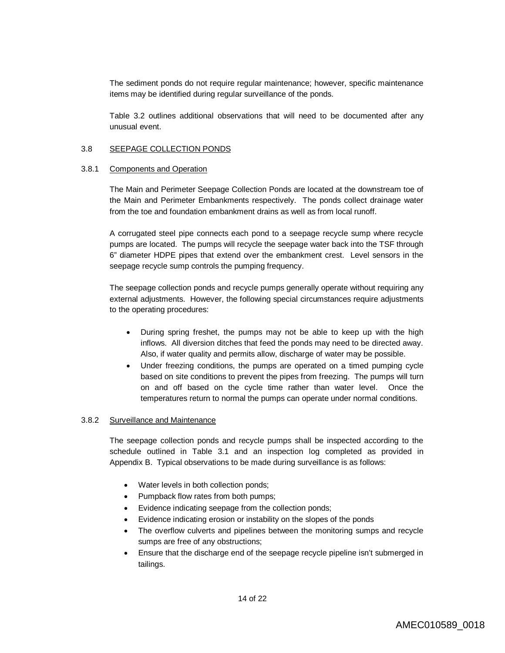The sediment ponds do not require regular maintenance; however, specific maintenance items may be identified during regular surveillance of the ponds.

Table 3.2 outlines additional observations that will need to be documented after any unusual event.

#### 3.8 SEEPAGE COLLECTION PONDS

#### 3.8.1 Components and Operation

The Main and Perimeter Seepage Collection Ponds are located at the downstream toe of the Main and Perimeter Embankments respectively. The ponds collect drainage water from the toe and foundation embankment drains as well as from local runoff.

A corrugated steel pipe connects each pond to a seepage recycle sump where recycle pumps are located. The pumps will recycle the seepage water back into the TSF through 6" diameter HDPE pipes that extend over the embankment crest. Level sensors in the seepage recycle sump controls the pumping frequency.

The seepage collection ponds and recycle pumps generally operate without requiring any external adjustments. However, the following special circumstances require adjustments to the operating procedures:

- During spring freshet, the pumps may not be able to keep up with the high inflows. All diversion ditches that feed the ponds may need to be directed away. Also, if water quality and permits allow, discharge of water may be possible.
- Under freezing conditions, the pumps are operated on a timed pumping cycle based on site conditions to prevent the pipes from freezing. The pumps will turn on and off based on the cycle time rather than water level. Once the temperatures return to normal the pumps can operate under normal conditions.

#### 3.8.2 Surveillance and Maintenance

The seepage collection ponds and recycle pumps shall be inspected according to the schedule outlined in Table 3.1 and an inspection log completed as provided in Appendix B. Typical observations to be made during surveillance is as follows:

- Water levels in both collection ponds;
- Pumpback flow rates from both pumps;
- Evidence indicating seepage from the collection ponds;
- Evidence indicating erosion or instability on the slopes of the ponds
- The overflow culverts and pipelines between the monitoring sumps and recycle sumps are free of any obstructions;
- Ensure that the discharge end of the seepage recycle pipeline isn't submerged in tailings.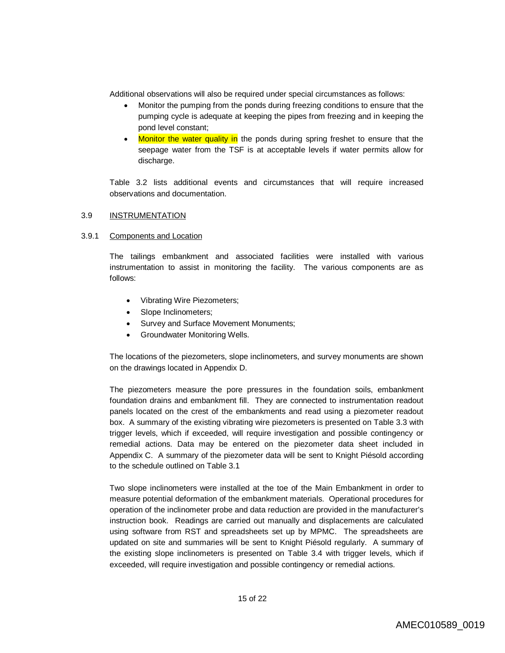Additional observations will also be required under special circumstances as follows:

- Monitor the pumping from the ponds during freezing conditions to ensure that the pumping cycle is adequate at keeping the pipes from freezing and in keeping the pond level constant;
- Monitor the water quality in the ponds during spring freshet to ensure that the seepage water from the TSF is at acceptable levels if water permits allow for discharge.

Table 3.2 lists additional events and circumstances that will require increased observations and documentation.

#### 3.9 INSTRUMENTATION

#### 3.9.1 Components and Location

The tailings embankment and associated facilities were installed with various instrumentation to assist in monitoring the facility. The various components are as follows:

- Vibrating Wire Piezometers;
- Slope Inclinometers;
- Survey and Surface Movement Monuments;
- Groundwater Monitoring Wells.

The locations of the piezometers, slope inclinometers, and survey monuments are shown on the drawings located in Appendix D.

The piezometers measure the pore pressures in the foundation soils, embankment foundation drains and embankment fill. They are connected to instrumentation readout panels located on the crest of the embankments and read using a piezometer readout box. A summary of the existing vibrating wire piezometers is presented on Table 3.3 with trigger levels, which if exceeded, will require investigation and possible contingency or remedial actions. Data may be entered on the piezometer data sheet included in Appendix C. A summary of the piezometer data will be sent to Knight Piésold according to the schedule outlined on Table 3.1

Two slope inclinometers were installed at the toe of the Main Embankment in order to measure potential deformation of the embankment materials. Operational procedures for operation of the inclinometer probe and data reduction are provided in the manufacturer's instruction book. Readings are carried out manually and displacements are calculated using software from RST and spreadsheets set up by MPMC. The spreadsheets are updated on site and summaries will be sent to Knight Piésold regularly. A summary of the existing slope inclinometers is presented on Table 3.4 with trigger levels, which if exceeded, will require investigation and possible contingency or remedial actions.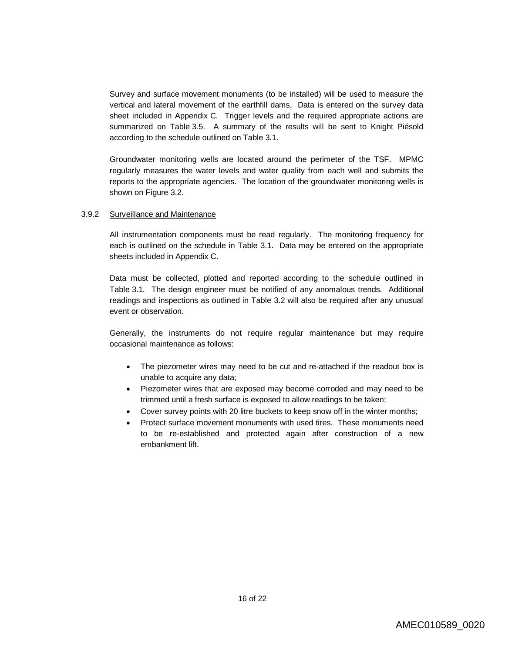Survey and surface movement monuments (to be installed) will be used to measure the vertical and lateral movement of the earthfill dams. Data is entered on the survey data sheet included in Appendix C. Trigger levels and the required appropriate actions are summarized on Table 3.5. A summary of the results will be sent to Knight Piésold according to the schedule outlined on Table 3.1.

Groundwater monitoring wells are located around the perimeter of the TSF. MPMC regularly measures the water levels and water quality from each well and submits the reports to the appropriate agencies. The location of the groundwater monitoring wells is shown on Figure 3.2.

#### 3.9.2 Surveillance and Maintenance

All instrumentation components must be read regularly. The monitoring frequency for each is outlined on the schedule in Table 3.1. Data may be entered on the appropriate sheets included in Appendix C.

Data must be collected, plotted and reported according to the schedule outlined in Table 3.1. The design engineer must be notified of any anomalous trends. Additional readings and inspections as outlined in Table 3.2 will also be required after any unusual event or observation.

Generally, the instruments do not require regular maintenance but may require occasional maintenance as follows:

- The piezometer wires may need to be cut and re-attached if the readout box is unable to acquire any data;
- Piezometer wires that are exposed may become corroded and may need to be trimmed until a fresh surface is exposed to allow readings to be taken;
- Cover survey points with 20 litre buckets to keep snow off in the winter months;
- Protect surface movement monuments with used tires. These monuments need to be re-established and protected again after construction of a new embankment lift.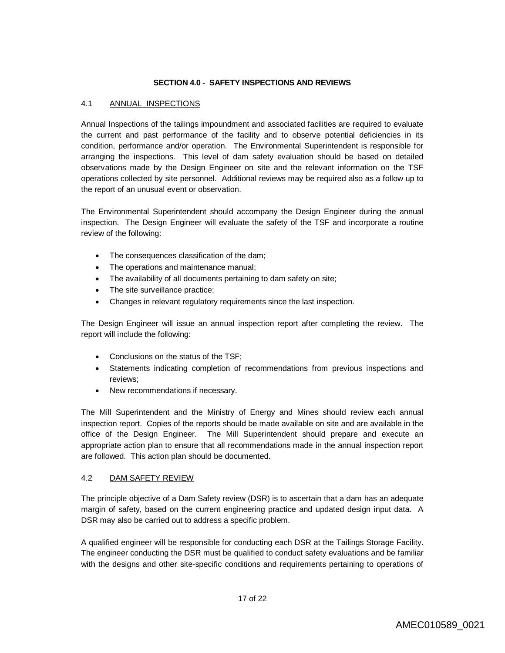#### **SECTION 4.0 - SAFETY INSPECTIONS AND REVIEWS**

## 4.1 ANNUAL INSPECTIONS

Annual Inspections of the tailings impoundment and associated facilities are required to evaluate the current and past performance of the facility and to observe potential deficiencies in its condition, performance and/or operation. The Environmental Superintendent is responsible for arranging the inspections. This level of dam safety evaluation should be based on detailed observations made by the Design Engineer on site and the relevant information on the TSF operations collected by site personnel. Additional reviews may be required also as a follow up to the report of an unusual event or observation.

The Environmental Superintendent should accompany the Design Engineer during the annual inspection. The Design Engineer will evaluate the safety of the TSF and incorporate a routine review of the following:

- The consequences classification of the dam;
- The operations and maintenance manual;
- The availability of all documents pertaining to dam safety on site;
- The site surveillance practice;
- Changes in relevant regulatory requirements since the last inspection.

The Design Engineer will issue an annual inspection report after completing the review. The report will include the following:

- Conclusions on the status of the TSF;
- Statements indicating completion of recommendations from previous inspections and reviews;
- New recommendations if necessary.

The Mill Superintendent and the Ministry of Energy and Mines should review each annual inspection report. Copies of the reports should be made available on site and are available in the office of the Design Engineer. The Mill Superintendent should prepare and execute an appropriate action plan to ensure that all recommendations made in the annual inspection report are followed. This action plan should be documented.

## 4.2 DAM SAFETY REVIEW

The principle objective of a Dam Safety review (DSR) is to ascertain that a dam has an adequate margin of safety, based on the current engineering practice and updated design input data. A DSR may also be carried out to address a specific problem.

A qualified engineer will be responsible for conducting each DSR at the Tailings Storage Facility. The engineer conducting the DSR must be qualified to conduct safety evaluations and be familiar with the designs and other site-specific conditions and requirements pertaining to operations of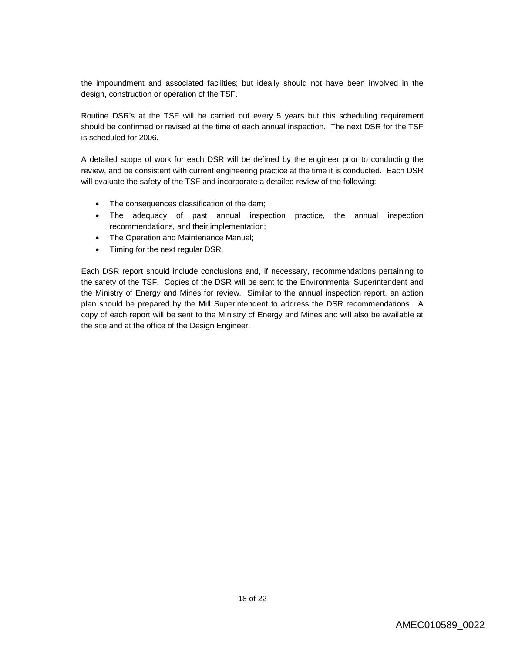the impoundment and associated facilities; but ideally should not have been involved in the design, construction or operation of the TSF.

Routine DSR's at the TSF will be carried out every 5 years but this scheduling requirement should be confirmed or revised at the time of each annual inspection. The next DSR for the TSF is scheduled for 2006.

A detailed scope of work for each DSR will be defined by the engineer prior to conducting the review, and be consistent with current engineering practice at the time it is conducted. Each DSR will evaluate the safety of the TSF and incorporate a detailed review of the following:

- The consequences classification of the dam;
- The adequacy of past annual inspection practice, the annual inspection recommendations, and their implementation;
- The Operation and Maintenance Manual;
- Timing for the next regular DSR.

Each DSR report should include conclusions and, if necessary, recommendations pertaining to the safety of the TSF. Copies of the DSR will be sent to the Environmental Superintendent and the Ministry of Energy and Mines for review. Similar to the annual inspection report, an action plan should be prepared by the Mill Superintendent to address the DSR recommendations. A copy of each report will be sent to the Ministry of Energy and Mines and will also be available at the site and at the office of the Design Engineer.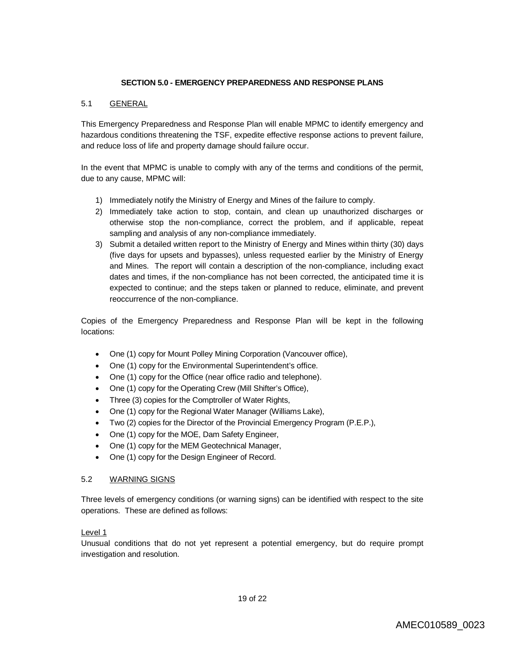## **SECTION 5.0 - EMERGENCY PREPAREDNESS AND RESPONSE PLANS**

## 5.1 GENERAL

This Emergency Preparedness and Response Plan will enable MPMC to identify emergency and hazardous conditions threatening the TSF, expedite effective response actions to prevent failure, and reduce loss of life and property damage should failure occur.

In the event that MPMC is unable to comply with any of the terms and conditions of the permit, due to any cause, MPMC will:

- 1) Immediately notify the Ministry of Energy and Mines of the failure to comply.
- 2) Immediately take action to stop, contain, and clean up unauthorized discharges or otherwise stop the non-compliance, correct the problem, and if applicable, repeat sampling and analysis of any non-compliance immediately.
- 3) Submit a detailed written report to the Ministry of Energy and Mines within thirty (30) days (five days for upsets and bypasses), unless requested earlier by the Ministry of Energy and Mines. The report will contain a description of the non-compliance, including exact dates and times, if the non-compliance has not been corrected, the anticipated time it is expected to continue; and the steps taken or planned to reduce, eliminate, and prevent reoccurrence of the non-compliance.

Copies of the Emergency Preparedness and Response Plan will be kept in the following locations:

- One (1) copy for Mount Polley Mining Corporation (Vancouver office),
- One (1) copy for the Environmental Superintendent's office.
- One (1) copy for the Office (near office radio and telephone).
- One (1) copy for the Operating Crew (Mill Shifter's Office),
- Three (3) copies for the Comptroller of Water Rights,
- One (1) copy for the Regional Water Manager (Williams Lake),
- Two (2) copies for the Director of the Provincial Emergency Program (P.E.P.),
- One (1) copy for the MOE, Dam Safety Engineer,
- One (1) copy for the MEM Geotechnical Manager,
- One (1) copy for the Design Engineer of Record.

#### 5.2 WARNING SIGNS

Three levels of emergency conditions (or warning signs) can be identified with respect to the site operations. These are defined as follows:

## Level 1

Unusual conditions that do not yet represent a potential emergency, but do require prompt investigation and resolution.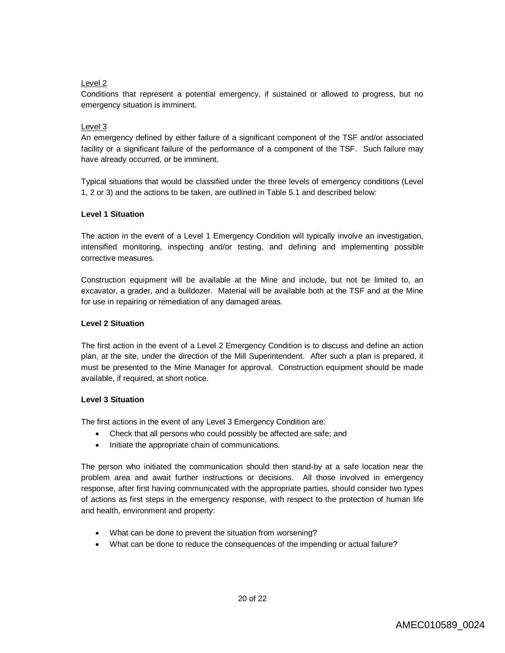## Level 2

Conditions that represent a potential emergency, if sustained or allowed to progress, but no emergency situation is imminent.

## Level 3

An emergency defined by either failure of a significant component of the TSF and/or associated facility or a significant failure of the performance of a component of the TSF. Such failure may have already occurred, or be imminent.

Typical situations that would be classified under the three levels of emergency conditions (Level 1, 2 or 3) and the actions to be taken, are outlined in Table 5.1 and described below:

## **Level 1 Situation**

The action in the event of a Level 1 Emergency Condition will typically involve an investigation, intensified monitoring, inspecting and/or testing, and defining and implementing possible corrective measures.

Construction equipment will be available at the Mine and include, but not be limited to, an excavator, a grader, and a bulldozer. Material will be available both at the TSF and at the Mine for use in repairing or remediation of any damaged areas.

## **Level 2 Situation**

The first action in the event of a Level 2 Emergency Condition is to discuss and define an action plan, at the site, under the direction of the Mill Superintendent. After such a plan is prepared, it must be presented to the Mine Manager for approval. Construction equipment should be made available, if required, at short notice.

#### **Level 3 Situation**

The first actions in the event of any Level 3 Emergency Condition are:

- Check that all persons who could possibly be affected are safe; and
- Initiate the appropriate chain of communications.

The person who initiated the communication should then stand-by at a safe location near the problem area and await further instructions or decisions. All those involved in emergency response, after first having communicated with the appropriate parties, should consider two types of actions as first steps in the emergency response, with respect to the protection of human life and health, environment and property:

- What can be done to prevent the situation from worsening?
- What can be done to reduce the consequences of the impending or actual failure?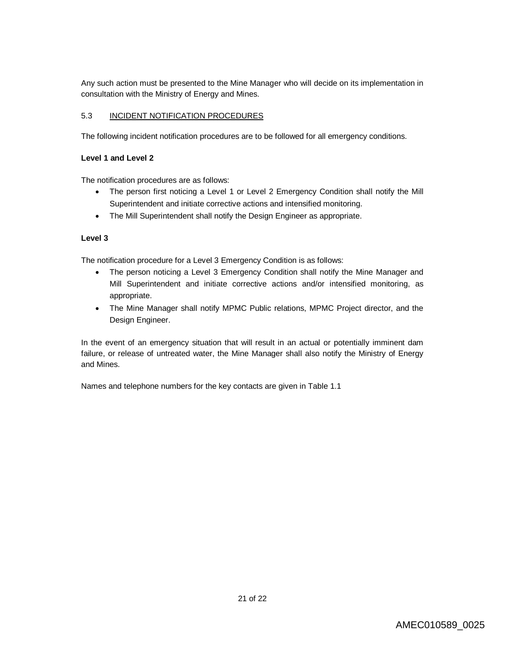Any such action must be presented to the Mine Manager who will decide on its implementation in consultation with the Ministry of Energy and Mines.

## 5.3 INCIDENT NOTIFICATION PROCEDURES

The following incident notification procedures are to be followed for all emergency conditions.

## **Level 1 and Level 2**

The notification procedures are as follows:

- The person first noticing a Level 1 or Level 2 Emergency Condition shall notify the Mill Superintendent and initiate corrective actions and intensified monitoring.
- The Mill Superintendent shall notify the Design Engineer as appropriate.

## **Level 3**

The notification procedure for a Level 3 Emergency Condition is as follows:

- The person noticing a Level 3 Emergency Condition shall notify the Mine Manager and Mill Superintendent and initiate corrective actions and/or intensified monitoring, as appropriate.
- The Mine Manager shall notify MPMC Public relations, MPMC Project director, and the Design Engineer.

In the event of an emergency situation that will result in an actual or potentially imminent dam failure, or release of untreated water, the Mine Manager shall also notify the Ministry of Energy and Mines.

Names and telephone numbers for the key contacts are given in Table 1.1